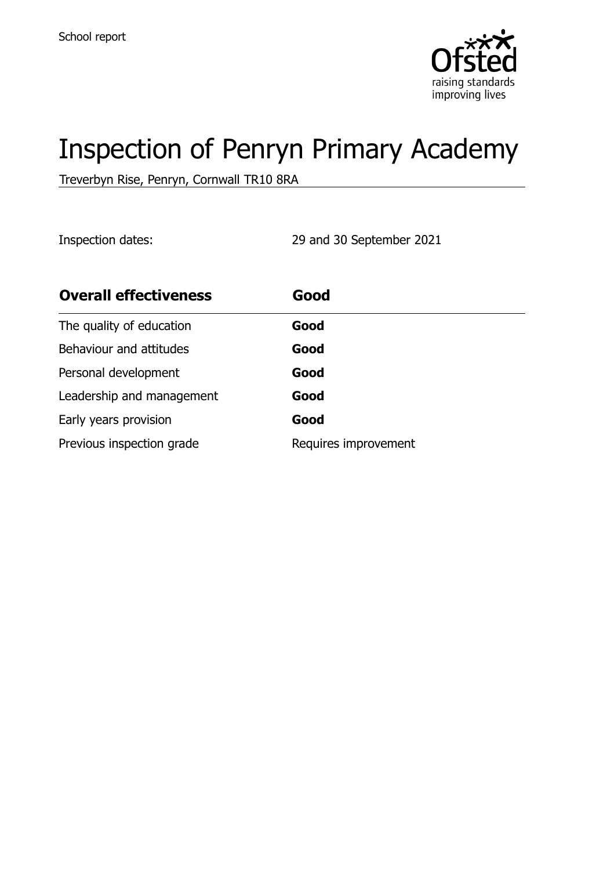

# Inspection of Penryn Primary Academy

Treverbyn Rise, Penryn, Cornwall TR10 8RA

Inspection dates: 29 and 30 September 2021

| <b>Overall effectiveness</b> | Good                 |
|------------------------------|----------------------|
| The quality of education     | Good                 |
| Behaviour and attitudes      | Good                 |
| Personal development         | Good                 |
| Leadership and management    | Good                 |
| Early years provision        | Good                 |
| Previous inspection grade    | Requires improvement |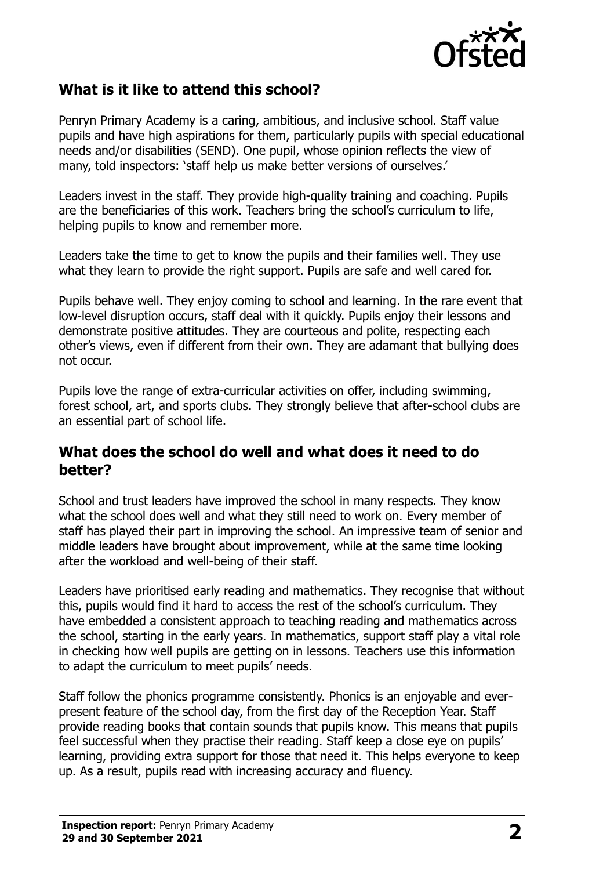

# **What is it like to attend this school?**

Penryn Primary Academy is a caring, ambitious, and inclusive school. Staff value pupils and have high aspirations for them, particularly pupils with special educational needs and/or disabilities (SEND). One pupil, whose opinion reflects the view of many, told inspectors: 'staff help us make better versions of ourselves.'

Leaders invest in the staff. They provide high-quality training and coaching. Pupils are the beneficiaries of this work. Teachers bring the school's curriculum to life, helping pupils to know and remember more.

Leaders take the time to get to know the pupils and their families well. They use what they learn to provide the right support. Pupils are safe and well cared for.

Pupils behave well. They enjoy coming to school and learning. In the rare event that low-level disruption occurs, staff deal with it quickly. Pupils enjoy their lessons and demonstrate positive attitudes. They are courteous and polite, respecting each other's views, even if different from their own. They are adamant that bullying does not occur.

Pupils love the range of extra-curricular activities on offer, including swimming, forest school, art, and sports clubs. They strongly believe that after-school clubs are an essential part of school life.

#### **What does the school do well and what does it need to do better?**

School and trust leaders have improved the school in many respects. They know what the school does well and what they still need to work on. Every member of staff has played their part in improving the school. An impressive team of senior and middle leaders have brought about improvement, while at the same time looking after the workload and well-being of their staff.

Leaders have prioritised early reading and mathematics. They recognise that without this, pupils would find it hard to access the rest of the school's curriculum. They have embedded a consistent approach to teaching reading and mathematics across the school, starting in the early years. In mathematics, support staff play a vital role in checking how well pupils are getting on in lessons. Teachers use this information to adapt the curriculum to meet pupils' needs.

Staff follow the phonics programme consistently. Phonics is an enjoyable and everpresent feature of the school day, from the first day of the Reception Year. Staff provide reading books that contain sounds that pupils know. This means that pupils feel successful when they practise their reading. Staff keep a close eye on pupils' learning, providing extra support for those that need it. This helps everyone to keep up. As a result, pupils read with increasing accuracy and fluency.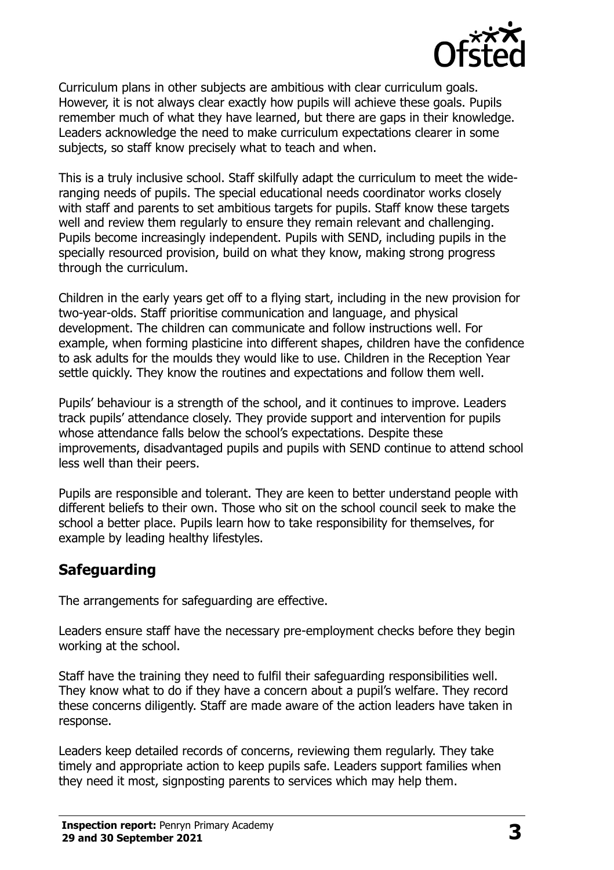

Curriculum plans in other subjects are ambitious with clear curriculum goals. However, it is not always clear exactly how pupils will achieve these goals. Pupils remember much of what they have learned, but there are gaps in their knowledge. Leaders acknowledge the need to make curriculum expectations clearer in some subjects, so staff know precisely what to teach and when.

This is a truly inclusive school. Staff skilfully adapt the curriculum to meet the wideranging needs of pupils. The special educational needs coordinator works closely with staff and parents to set ambitious targets for pupils. Staff know these targets well and review them regularly to ensure they remain relevant and challenging. Pupils become increasingly independent. Pupils with SEND, including pupils in the specially resourced provision, build on what they know, making strong progress through the curriculum.

Children in the early years get off to a flying start, including in the new provision for two-year-olds. Staff prioritise communication and language, and physical development. The children can communicate and follow instructions well. For example, when forming plasticine into different shapes, children have the confidence to ask adults for the moulds they would like to use. Children in the Reception Year settle quickly. They know the routines and expectations and follow them well.

Pupils' behaviour is a strength of the school, and it continues to improve. Leaders track pupils' attendance closely. They provide support and intervention for pupils whose attendance falls below the school's expectations. Despite these improvements, disadvantaged pupils and pupils with SEND continue to attend school less well than their peers.

Pupils are responsible and tolerant. They are keen to better understand people with different beliefs to their own. Those who sit on the school council seek to make the school a better place. Pupils learn how to take responsibility for themselves, for example by leading healthy lifestyles.

### **Safeguarding**

The arrangements for safeguarding are effective.

Leaders ensure staff have the necessary pre-employment checks before they begin working at the school.

Staff have the training they need to fulfil their safeguarding responsibilities well. They know what to do if they have a concern about a pupil's welfare. They record these concerns diligently. Staff are made aware of the action leaders have taken in response.

Leaders keep detailed records of concerns, reviewing them regularly. They take timely and appropriate action to keep pupils safe. Leaders support families when they need it most, signposting parents to services which may help them.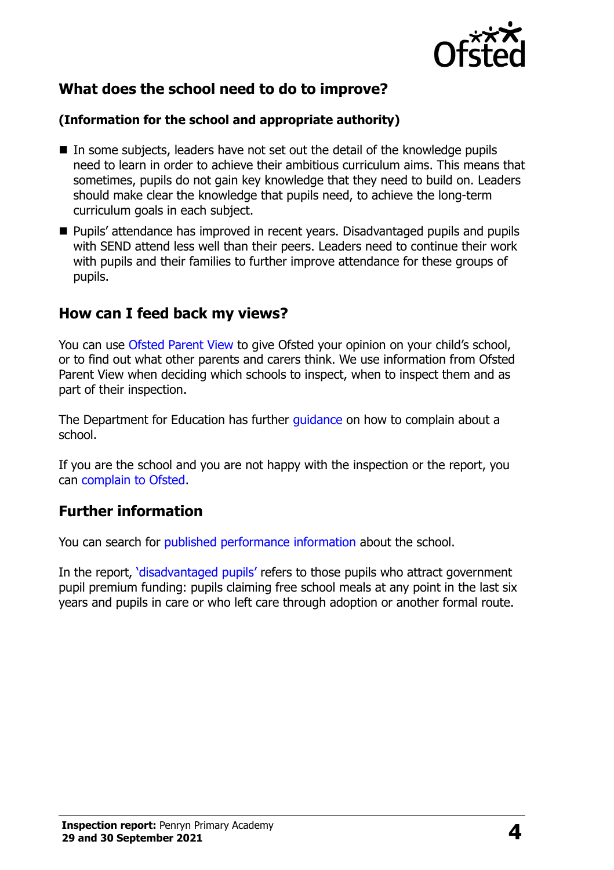

# **What does the school need to do to improve?**

#### **(Information for the school and appropriate authority)**

- $\blacksquare$  In some subjects, leaders have not set out the detail of the knowledge pupils need to learn in order to achieve their ambitious curriculum aims. This means that sometimes, pupils do not gain key knowledge that they need to build on. Leaders should make clear the knowledge that pupils need, to achieve the long-term curriculum goals in each subject.
- **Pupils' attendance has improved in recent years. Disadvantaged pupils and pupils** with SEND attend less well than their peers. Leaders need to continue their work with pupils and their families to further improve attendance for these groups of pupils.

### **How can I feed back my views?**

You can use [Ofsted Parent View](http://parentview.ofsted.gov.uk/) to give Ofsted your opinion on your child's school, or to find out what other parents and carers think. We use information from Ofsted Parent View when deciding which schools to inspect, when to inspect them and as part of their inspection.

The Department for Education has further [guidance](http://www.gov.uk/complain-about-school) on how to complain about a school.

If you are the school and you are not happy with the inspection or the report, you can [complain to Ofsted.](http://www.gov.uk/complain-ofsted-report)

# **Further information**

You can search for [published performance information](http://www.compare-school-performance.service.gov.uk/) about the school.

In the report, '[disadvantaged pupils](http://www.gov.uk/guidance/pupil-premium-information-for-schools-and-alternative-provision-settings)' refers to those pupils who attract government pupil premium funding: pupils claiming free school meals at any point in the last six years and pupils in care or who left care through adoption or another formal route.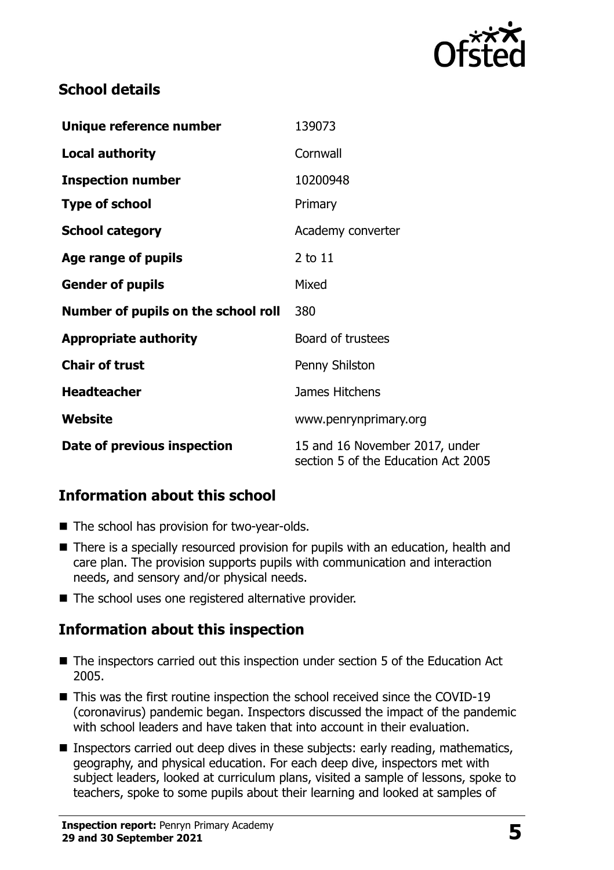

# **School details**

| Unique reference number             | 139073                                                                |  |
|-------------------------------------|-----------------------------------------------------------------------|--|
| <b>Local authority</b>              | Cornwall                                                              |  |
| <b>Inspection number</b>            | 10200948                                                              |  |
| <b>Type of school</b>               | Primary                                                               |  |
| <b>School category</b>              | Academy converter                                                     |  |
| Age range of pupils                 | 2 to 11                                                               |  |
| <b>Gender of pupils</b>             | Mixed                                                                 |  |
| Number of pupils on the school roll | 380                                                                   |  |
| <b>Appropriate authority</b>        | Board of trustees                                                     |  |
| <b>Chair of trust</b>               | Penny Shilston                                                        |  |
| <b>Headteacher</b>                  | James Hitchens                                                        |  |
| Website                             | www.penrynprimary.org                                                 |  |
| Date of previous inspection         | 15 and 16 November 2017, under<br>section 5 of the Education Act 2005 |  |

# **Information about this school**

- The school has provision for two-year-olds.
- There is a specially resourced provision for pupils with an education, health and care plan. The provision supports pupils with communication and interaction needs, and sensory and/or physical needs.
- The school uses one registered alternative provider.

# **Information about this inspection**

- The inspectors carried out this inspection under section 5 of the Education Act 2005.
- This was the first routine inspection the school received since the COVID-19 (coronavirus) pandemic began. Inspectors discussed the impact of the pandemic with school leaders and have taken that into account in their evaluation.
- Inspectors carried out deep dives in these subjects: early reading, mathematics, geography, and physical education. For each deep dive, inspectors met with subject leaders, looked at curriculum plans, visited a sample of lessons, spoke to teachers, spoke to some pupils about their learning and looked at samples of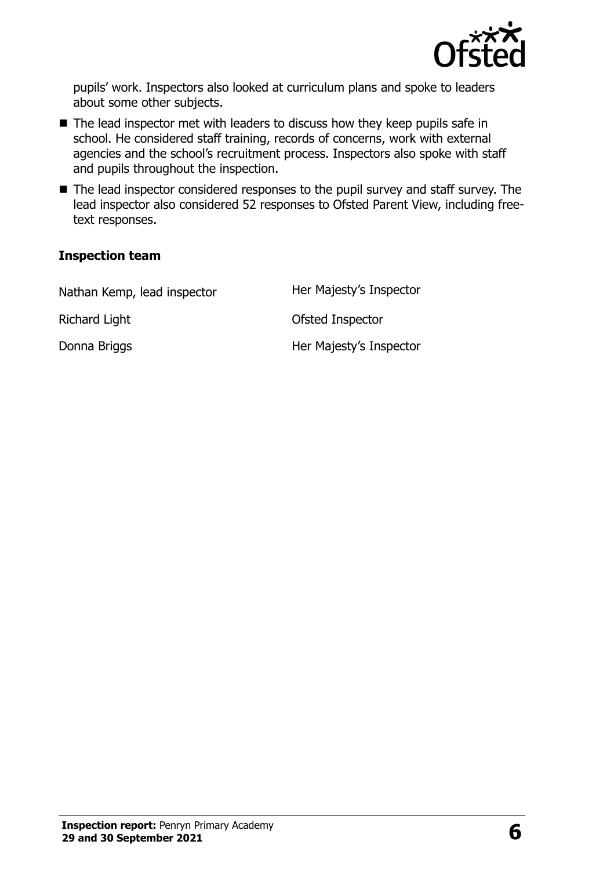

pupils' work. Inspectors also looked at curriculum plans and spoke to leaders about some other subjects.

- The lead inspector met with leaders to discuss how they keep pupils safe in school. He considered staff training, records of concerns, work with external agencies and the school's recruitment process. Inspectors also spoke with staff and pupils throughout the inspection.
- The lead inspector considered responses to the pupil survey and staff survey. The lead inspector also considered 52 responses to Ofsted Parent View, including freetext responses.

#### **Inspection team**

| Nathan Kemp, lead inspector | Her Majesty's Inspector |
|-----------------------------|-------------------------|
| Richard Light               | Ofsted Inspector        |
| Donna Briggs                | Her Majesty's Inspector |